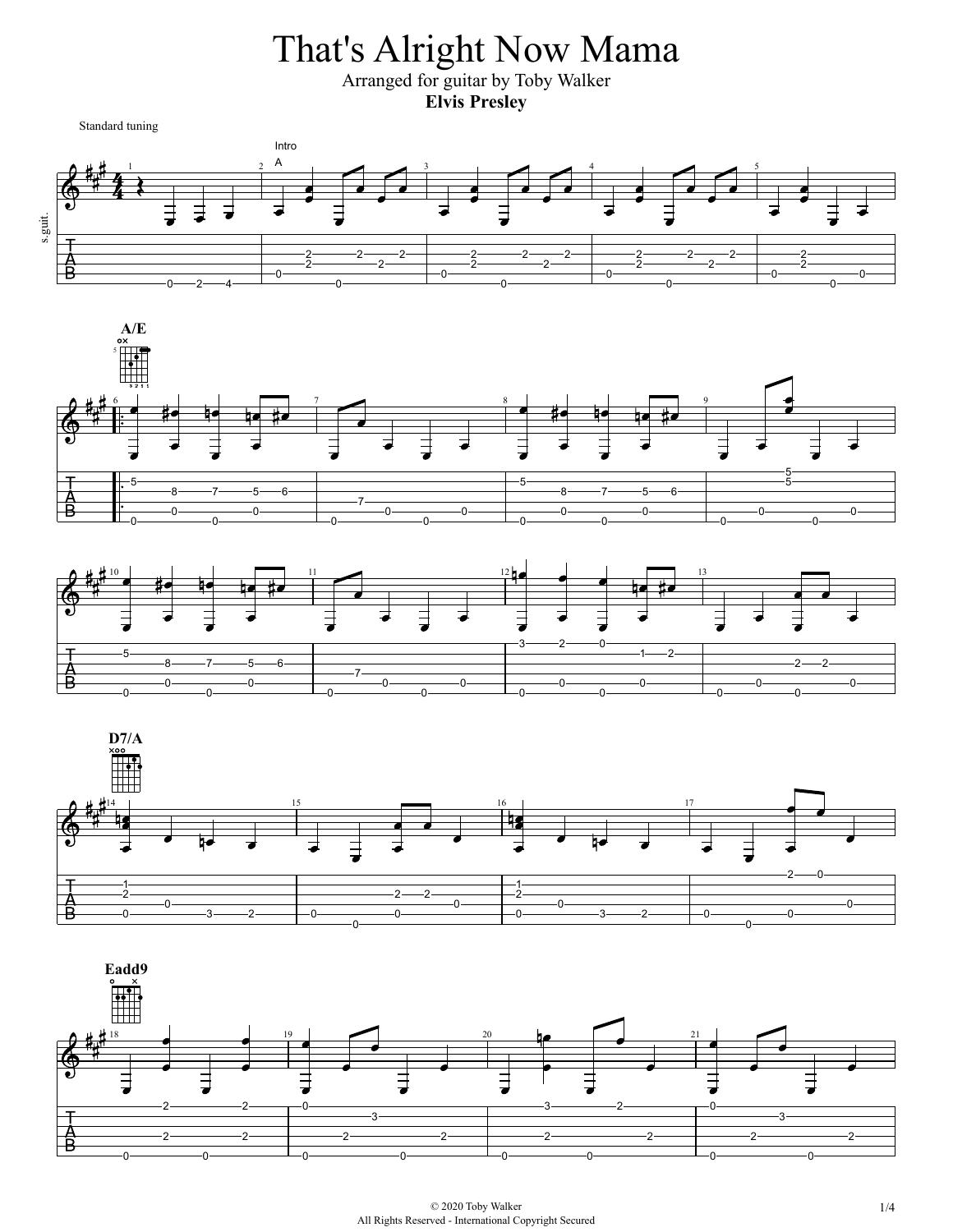That's Alright Now Mama

Arranged for guitar by Toby Walker **Elvis Presley**

Standard tuning









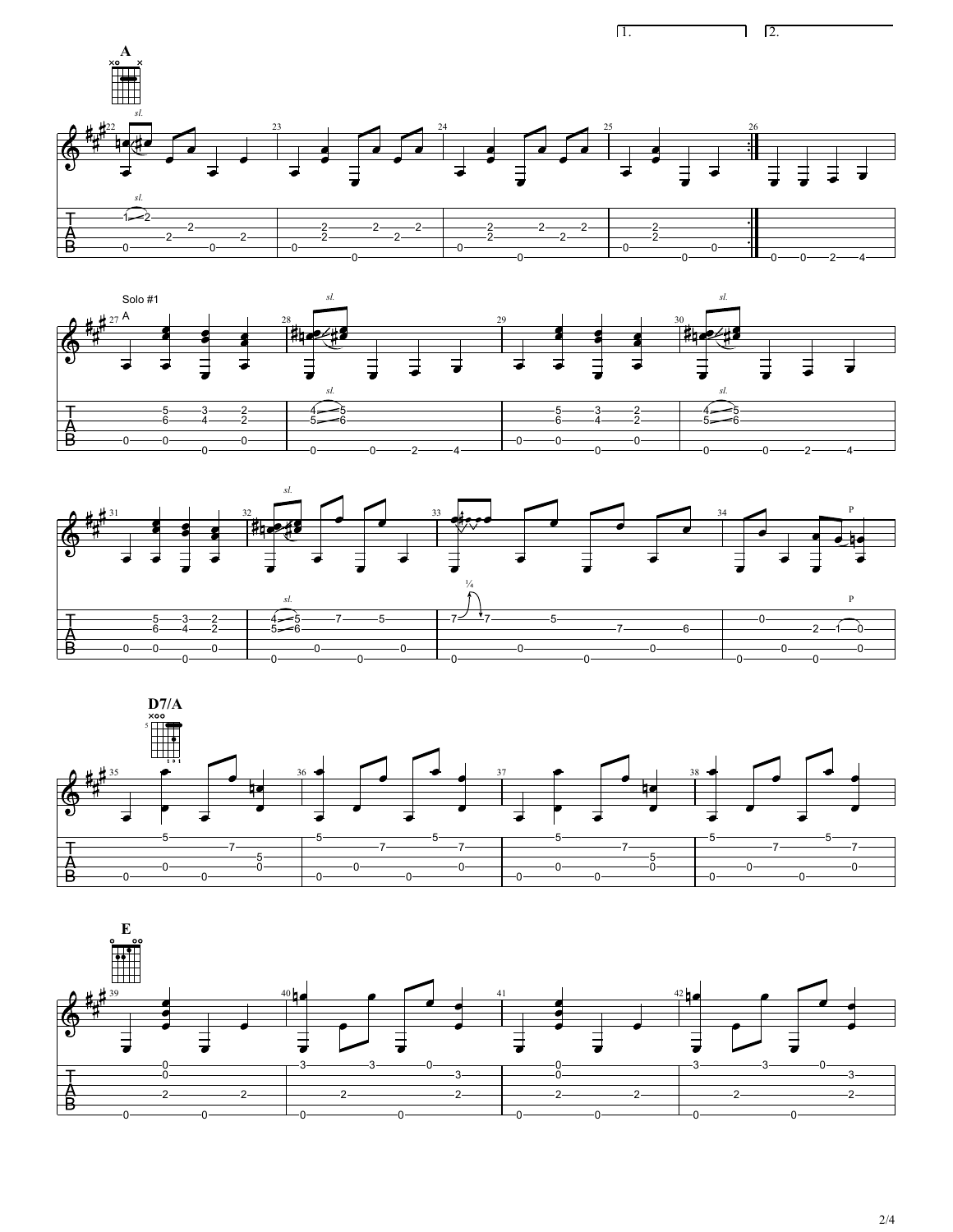









2/4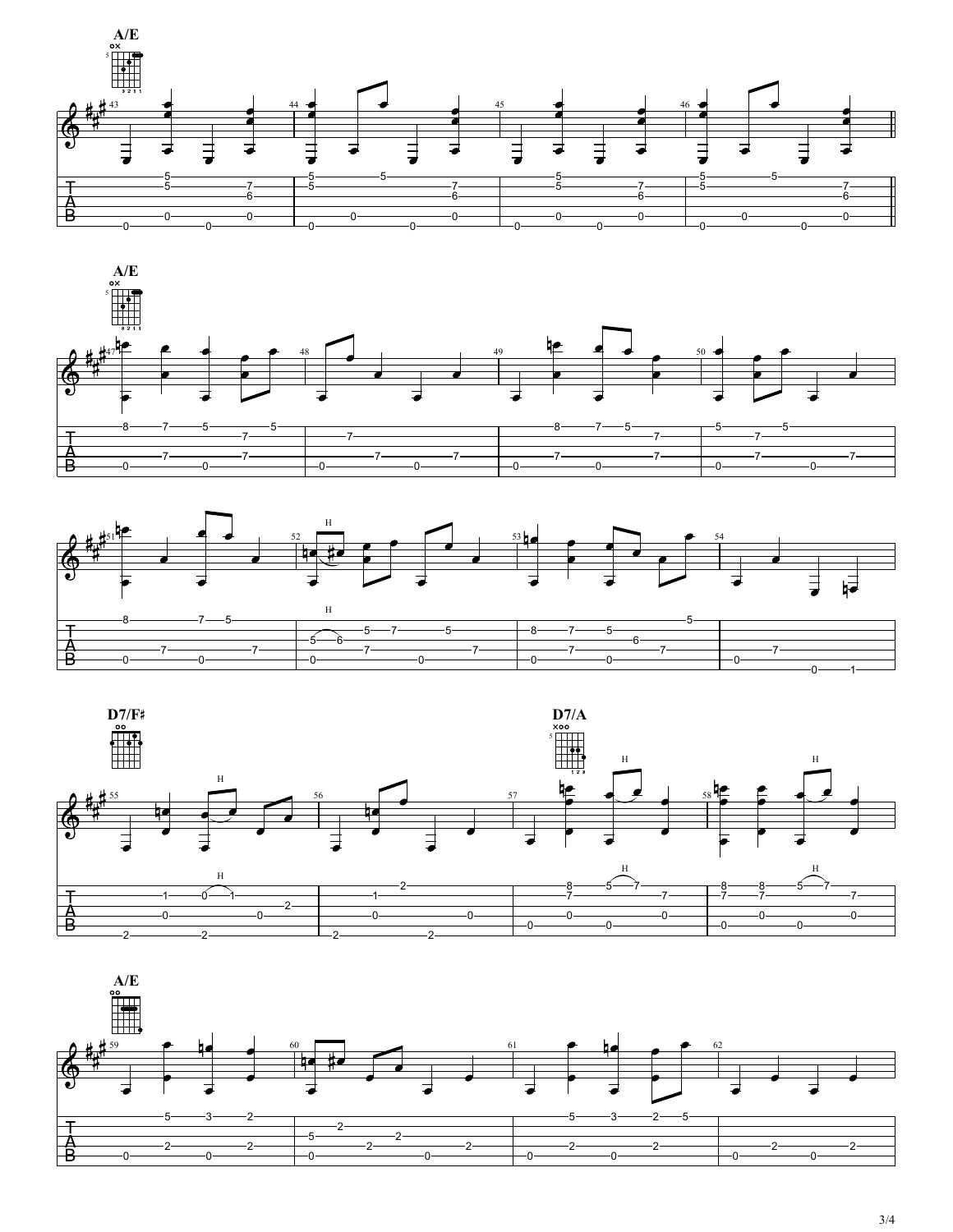